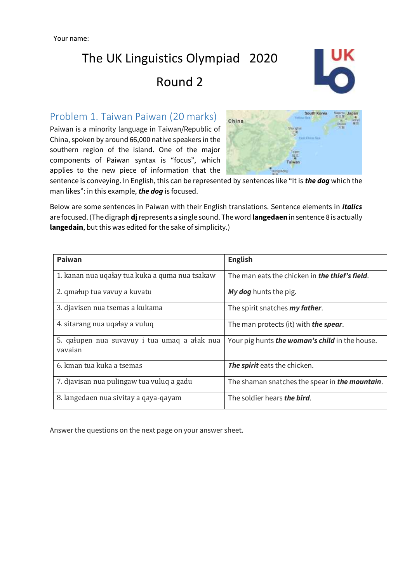

## Problem 1. Taiwan Paiwan (20 marks)

Paiwan is a minority language in Taiwan/Republic of China, spoken by around 66,000 native speakers in the southern region of the island. One of the major components of Paiwan syntax is "focus", which applies to the new piece of information that the



sentence is conveying. In English, this can be represented by sentences like "It is *the dog* which the man likes": in this example, *the dog* is focused.

Below are some sentences in Paiwan with their English translations. Sentence elements in *italics*  are focused. (The digraph **dj**represents a single sound. The word **langedaen** in sentence 8 is actually **langedain**, but this was edited for the sake of simplicity.)

| Paiwan                                                  | <b>English</b>                                         |  |
|---------------------------------------------------------|--------------------------------------------------------|--|
| 1. kanan nua ugałay tua kuka a guma nua tsakaw          | The man eats the chicken in <b>the thief's field.</b>  |  |
| 2. qmałup tua vavuy a kuvatu                            | My dog hunts the pig.                                  |  |
| 3. djavisen nua tsemas a kukama                         | The spirit snatches <b>my father</b> .                 |  |
| 4. sitarang nua uqałay a vuluq                          | The man protects (it) with <b>the spear</b> .          |  |
| 5. gałupen nua suvavuy i tua umag a ałak nua<br>vavajan | Your pig hunts <b>the woman's child</b> in the house.  |  |
| 6. kman tua kuka a tsemas                               | The spirit eats the chicken.                           |  |
| 7. djavisan nua pulingaw tua vuluq a gadu               | The shaman snatches the spear in <b>the mountain</b> . |  |
| 8. langedaen nua sivitay a qaya-qayam                   | The soldier hears the bird.                            |  |

Answer the questions on the next page on your answer sheet.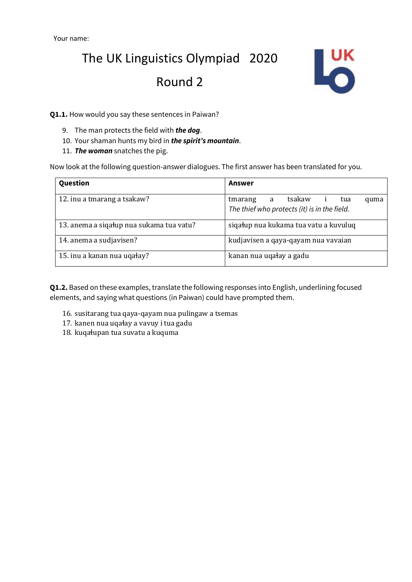

**Q1.1.** How would you say these sentences in Paiwan?

- 9. The man protects the field with *the dog*.
- 10. Your shaman hunts my bird in *the spirit's mountain*.
- 11. *The woman* snatches the pig.

Now look at the following question-answer dialogues. The first answer has been translated for you.

| Question                                 | Answer                                                                                |  |  |
|------------------------------------------|---------------------------------------------------------------------------------------|--|--|
| 12. inu a tmarang a tsakaw?              | tsakaw<br>tmarang<br>a<br>tua<br>quma<br>The thief who protects (it) is in the field. |  |  |
| 13. anema a sigałup nua sukama tua vatu? | siqałup nua kukama tua vatu a kuvuluq                                                 |  |  |
| 14. anema a sudjavisen?                  | kudjavisen a qaya-qayam nua vavaian                                                   |  |  |
| 15. inu a kanan nua ugałay?              | kanan nua ugałay a gadu                                                               |  |  |

**Q1.2.** Based on these examples, translate the following responses into English, underlining focused elements, and saying what questions (in Paiwan) could have prompted them.

- 16. susitarang tua qaya-qayam nua pulingaw a tsemas
- 17. kanen nua uqaɬay a vavuy i tua gadu
- 18. kuqaɬupan tua suvatu a kuquma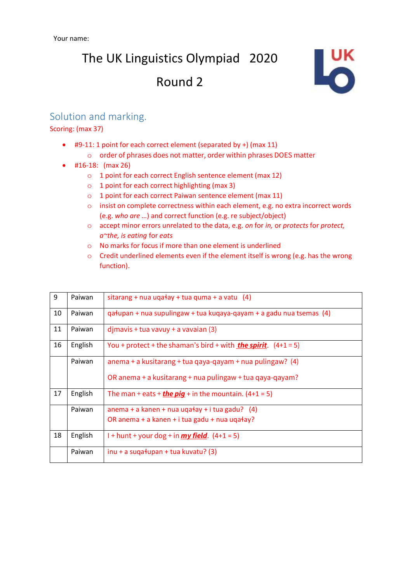

## Solution and marking.

#### Scoring: (max 37)

- #9-11: 1 point for each correct element (separated by +) (max 11) o order of phrases does not matter, order within phrases DOES matter
- #16-18: (max 26)
	- o 1 point for each correct English sentence element (max 12)
	- $\circ$  1 point for each correct highlighting (max 3)
	- o 1 point for each correct Paiwan sentence element (max 11)
	- o insist on complete correctness within each element, e.g. no extra incorrect words (e.g. *who are* …) and correct function (e.g. re subject/object)
	- o accept minor errors unrelated to the data, e.g. *on* for *in,* or *protects* for *protect, a~the, is eating* for *eats*
	- o No marks for focus if more than one element is underlined
	- o Credit underlined elements even if the element itself is wrong (e.g. has the wrong function).

| 9  | Paiwan  | sitarang + nua uqałay + tua quma + a vatu $(4)$                        |
|----|---------|------------------------------------------------------------------------|
| 10 | Paiwan  | qatupan + nua supulingaw + tua kuqaya-qayam + a gadu nua tsemas (4)    |
| 11 | Paiwan  | $d$ jmavis + tua vavuy + a vavaian (3)                                 |
| 16 | English | You + protect + the shaman's bird + with <b>the spirit</b> . $(4+1=5)$ |
|    | Paiwan  | anema + a kusitarang + tua qaya-qayam + nua pulingaw? (4)              |
|    |         | OR anema + a kusitarang + nua pulingaw + tua qaya-qayam?               |
| 17 | English | The man + eats + <b>the pig</b> + in the mountain. $(4+1=5)$           |
|    | Paiwan  | anema + a kanen + nua uqałay + i tua gadu? $(4)$                       |
|    |         | OR anema + a kanen + i tua gadu + nua ugałay?                          |
| 18 | English | I + hunt + your dog + in $my$ field. $(4+1=5)$                         |
|    | Paiwan  | $inu + a$ sugatupan + tua kuvatu? (3)                                  |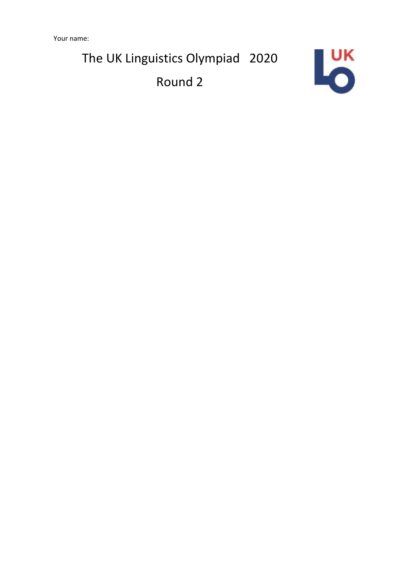Your name:

The UK Linguistics Olympiad 2020

Round 2